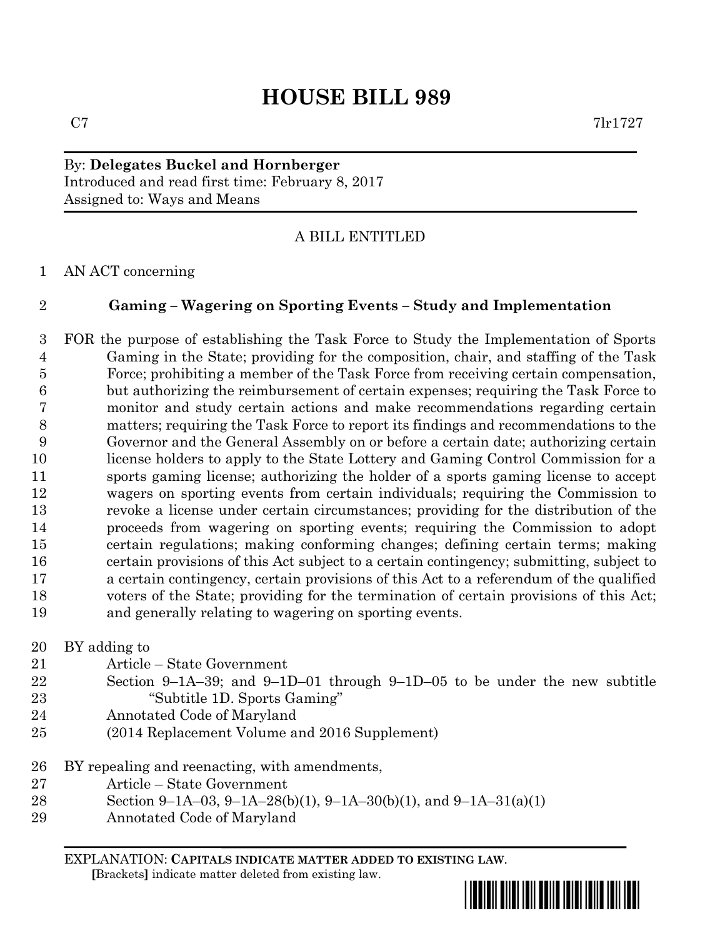# **HOUSE BILL 989**

By: **Delegates Buckel and Hornberger** Introduced and read first time: February 8, 2017 Assigned to: Ways and Means

## A BILL ENTITLED

AN ACT concerning

## **Gaming – Wagering on Sporting Events – Study and Implementation**

 FOR the purpose of establishing the Task Force to Study the Implementation of Sports Gaming in the State; providing for the composition, chair, and staffing of the Task Force; prohibiting a member of the Task Force from receiving certain compensation, but authorizing the reimbursement of certain expenses; requiring the Task Force to monitor and study certain actions and make recommendations regarding certain matters; requiring the Task Force to report its findings and recommendations to the Governor and the General Assembly on or before a certain date; authorizing certain license holders to apply to the State Lottery and Gaming Control Commission for a sports gaming license; authorizing the holder of a sports gaming license to accept wagers on sporting events from certain individuals; requiring the Commission to revoke a license under certain circumstances; providing for the distribution of the proceeds from wagering on sporting events; requiring the Commission to adopt certain regulations; making conforming changes; defining certain terms; making certain provisions of this Act subject to a certain contingency; submitting, subject to a certain contingency, certain provisions of this Act to a referendum of the qualified voters of the State; providing for the termination of certain provisions of this Act; and generally relating to wagering on sporting events.

BY adding to

- Article State Government
- Section 9–1A–39; and 9–1D–01 through 9–1D–05 to be under the new subtitle "Subtitle 1D. Sports Gaming"
- Annotated Code of Maryland
- (2014 Replacement Volume and 2016 Supplement)
- BY repealing and reenacting, with amendments,
- Article State Government
- Section 9–1A–03, 9–1A–28(b)(1), 9–1A–30(b)(1), and 9–1A–31(a)(1)
- Annotated Code of Maryland

EXPLANATION: **CAPITALS INDICATE MATTER ADDED TO EXISTING LAW**.  **[**Brackets**]** indicate matter deleted from existing law.

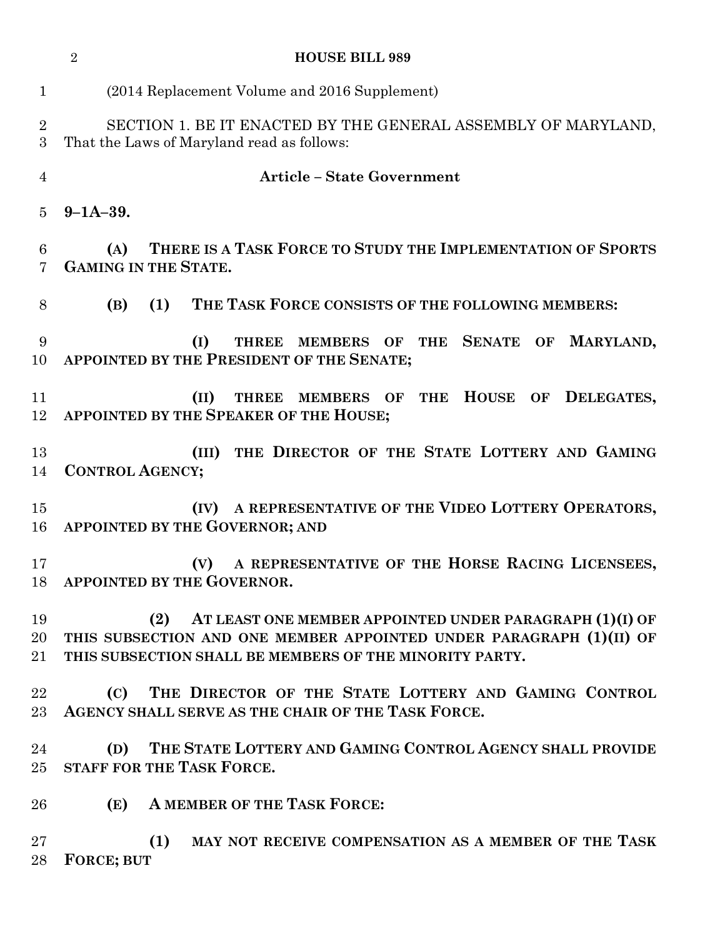|                     | <b>HOUSE BILL 989</b><br>$\overline{2}$                                                                                                                                                             |
|---------------------|-----------------------------------------------------------------------------------------------------------------------------------------------------------------------------------------------------|
| $\mathbf{1}$        | (2014 Replacement Volume and 2016 Supplement)                                                                                                                                                       |
| $\overline{2}$<br>3 | SECTION 1. BE IT ENACTED BY THE GENERAL ASSEMBLY OF MARYLAND,<br>That the Laws of Maryland read as follows:                                                                                         |
| $\overline{4}$      | <b>Article - State Government</b>                                                                                                                                                                   |
| 5                   | $9 - 1A - 39.$                                                                                                                                                                                      |
| 6<br>7              | THERE IS A TASK FORCE TO STUDY THE IMPLEMENTATION OF SPORTS<br>(A)<br><b>GAMING IN THE STATE.</b>                                                                                                   |
| 8                   | THE TASK FORCE CONSISTS OF THE FOLLOWING MEMBERS:<br>(B)<br>(1)                                                                                                                                     |
| 9<br>10             | <b>SENATE OF</b><br>MARYLAND,<br>(I)<br>THREE MEMBERS OF THE<br>APPOINTED BY THE PRESIDENT OF THE SENATE;                                                                                           |
| 11<br>12            | THE HOUSE OF DELEGATES,<br>(II)<br>THREE MEMBERS OF<br>APPOINTED BY THE SPEAKER OF THE HOUSE;                                                                                                       |
| 13<br>14            | THE DIRECTOR OF THE STATE LOTTERY AND GAMING<br>(III)<br><b>CONTROL AGENCY;</b>                                                                                                                     |
| 15<br>16            | A REPRESENTATIVE OF THE VIDEO LOTTERY OPERATORS,<br>(IV)<br>APPOINTED BY THE GOVERNOR; AND                                                                                                          |
| 17                  | A REPRESENTATIVE OF THE HORSE RACING LICENSEES,<br>(V)<br>18 APPOINTED BY THE GOVERNOR.                                                                                                             |
| 19                  | (2) AT LEAST ONE MEMBER APPOINTED UNDER PARAGRAPH (1)(I) OF<br>20 THIS SUBSECTION AND ONE MEMBER APPOINTED UNDER PARAGRAPH (1)(II) OF<br>21 THIS SUBSECTION SHALL BE MEMBERS OF THE MINORITY PARTY. |
| $22\,$              | (C) THE DIRECTOR OF THE STATE LOTTERY AND GAMING CONTROL<br>23 AGENCY SHALL SERVE AS THE CHAIR OF THE TASK FORCE.                                                                                   |
| 24                  | (D) THE STATE LOTTERY AND GAMING CONTROL AGENCY SHALL PROVIDE<br>25 STAFF FOR THE TASK FORCE.                                                                                                       |
| 26                  | (E) A MEMBER OF THE TASK FORCE:                                                                                                                                                                     |
| $27\,$<br>28        | (1)<br>MAY NOT RECEIVE COMPENSATION AS A MEMBER OF THE TASK<br><b>FORCE; BUT</b>                                                                                                                    |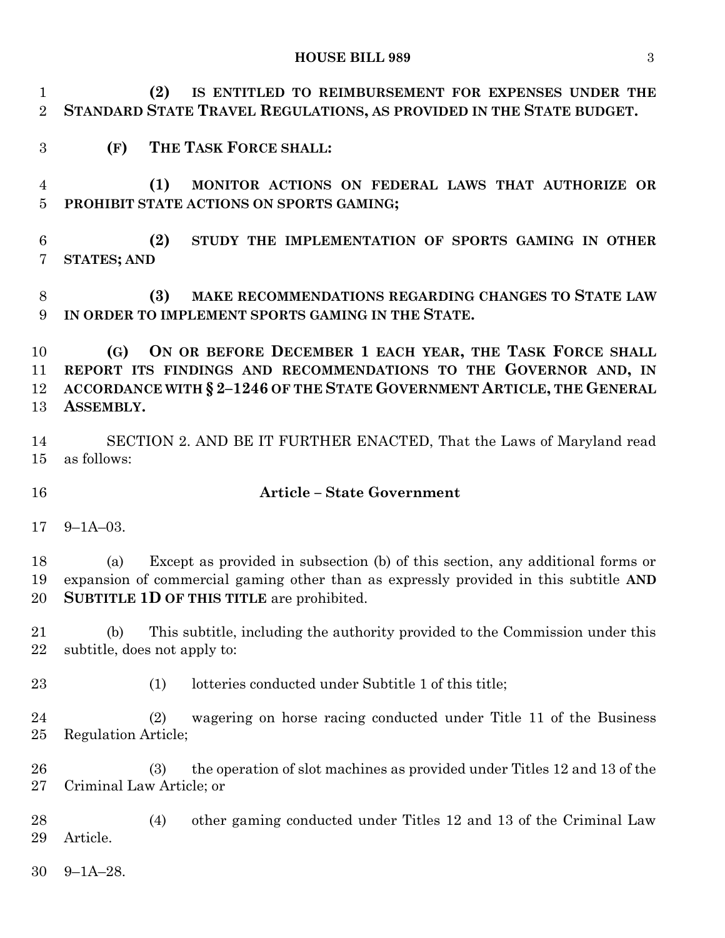#### **HOUSE BILL 989** 3

 **(2) IS ENTITLED TO REIMBURSEMENT FOR EXPENSES UNDER THE STANDARD STATE TRAVEL REGULATIONS, AS PROVIDED IN THE STATE BUDGET.**

**(F) THE TASK FORCE SHALL:**

 **(1) MONITOR ACTIONS ON FEDERAL LAWS THAT AUTHORIZE OR PROHIBIT STATE ACTIONS ON SPORTS GAMING;**

 **(2) STUDY THE IMPLEMENTATION OF SPORTS GAMING IN OTHER STATES; AND**

 **(3) MAKE RECOMMENDATIONS REGARDING CHANGES TO STATE LAW IN ORDER TO IMPLEMENT SPORTS GAMING IN THE STATE.**

 **(G) ON OR BEFORE DECEMBER 1 EACH YEAR, THE TASK FORCE SHALL REPORT ITS FINDINGS AND RECOMMENDATIONS TO THE GOVERNOR AND, IN ACCORDANCE WITH § 2–1246 OF THE STATE GOVERNMENT ARTICLE, THE GENERAL ASSEMBLY.**

 SECTION 2. AND BE IT FURTHER ENACTED, That the Laws of Maryland read as follows:

### **Article – State Government**

9–1A–03.

 (a) Except as provided in subsection (b) of this section, any additional forms or expansion of commercial gaming other than as expressly provided in this subtitle **AND SUBTITLE 1D OF THIS TITLE** are prohibited.

 (b) This subtitle, including the authority provided to the Commission under this subtitle, does not apply to:

(1) lotteries conducted under Subtitle 1 of this title;

 (2) wagering on horse racing conducted under Title 11 of the Business Regulation Article;

 (3) the operation of slot machines as provided under Titles 12 and 13 of the Criminal Law Article; or

 (4) other gaming conducted under Titles 12 and 13 of the Criminal Law Article.

9–1A–28.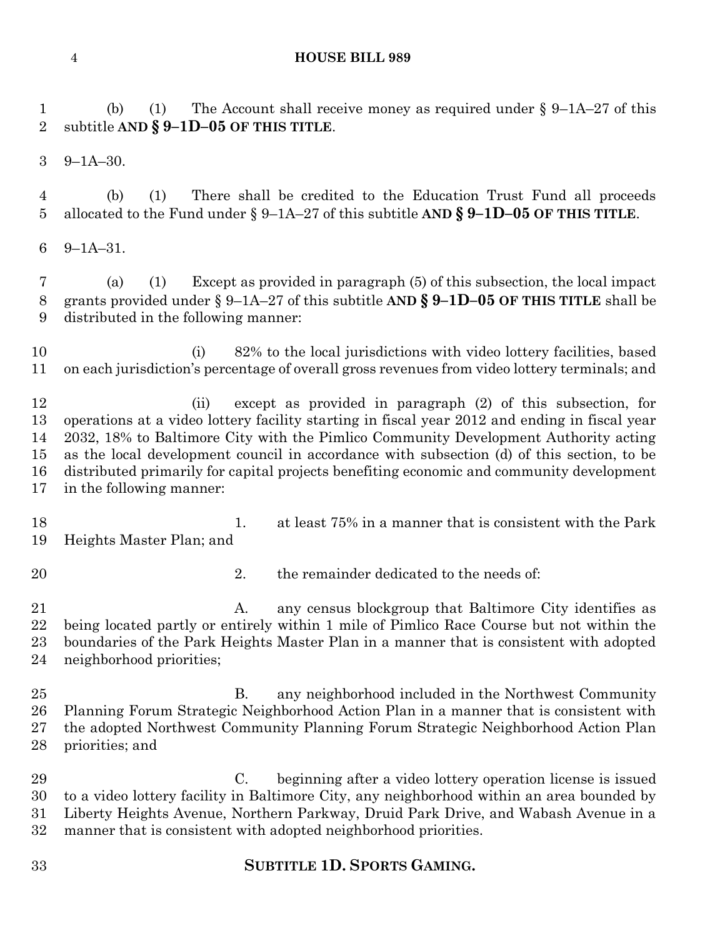#### **HOUSE BILL 989**

 (b) (1) The Account shall receive money as required under § 9–1A–27 of this subtitle **AND § 9–1D–05 OF THIS TITLE**.

9–1A–30.

 (b) (1) There shall be credited to the Education Trust Fund all proceeds allocated to the Fund under § 9–1A–27 of this subtitle **AND § 9–1D–05 OF THIS TITLE**.

9–1A–31.

 (a) (1) Except as provided in paragraph (5) of this subsection, the local impact grants provided under § 9–1A–27 of this subtitle **AND § 9–1D–05 OF THIS TITLE** shall be distributed in the following manner:

10 (i) 82% to the local jurisdictions with video lottery facilities, based on each jurisdiction's percentage of overall gross revenues from video lottery terminals; and

 (ii) except as provided in paragraph (2) of this subsection, for operations at a video lottery facility starting in fiscal year 2012 and ending in fiscal year 2032, 18% to Baltimore City with the Pimlico Community Development Authority acting as the local development council in accordance with subsection (d) of this section, to be distributed primarily for capital projects benefiting economic and community development in the following manner:

- 1. at least 75% in a manner that is consistent with the Park Heights Master Plan; and
- 
- 20 2. the remainder dedicated to the needs of:

21 A. any census blockgroup that Baltimore City identifies as being located partly or entirely within 1 mile of Pimlico Race Course but not within the boundaries of the Park Heights Master Plan in a manner that is consistent with adopted neighborhood priorities;

 B. any neighborhood included in the Northwest Community Planning Forum Strategic Neighborhood Action Plan in a manner that is consistent with the adopted Northwest Community Planning Forum Strategic Neighborhood Action Plan priorities; and

 C. beginning after a video lottery operation license is issued to a video lottery facility in Baltimore City, any neighborhood within an area bounded by Liberty Heights Avenue, Northern Parkway, Druid Park Drive, and Wabash Avenue in a manner that is consistent with adopted neighborhood priorities.

**SUBTITLE 1D. SPORTS GAMING.**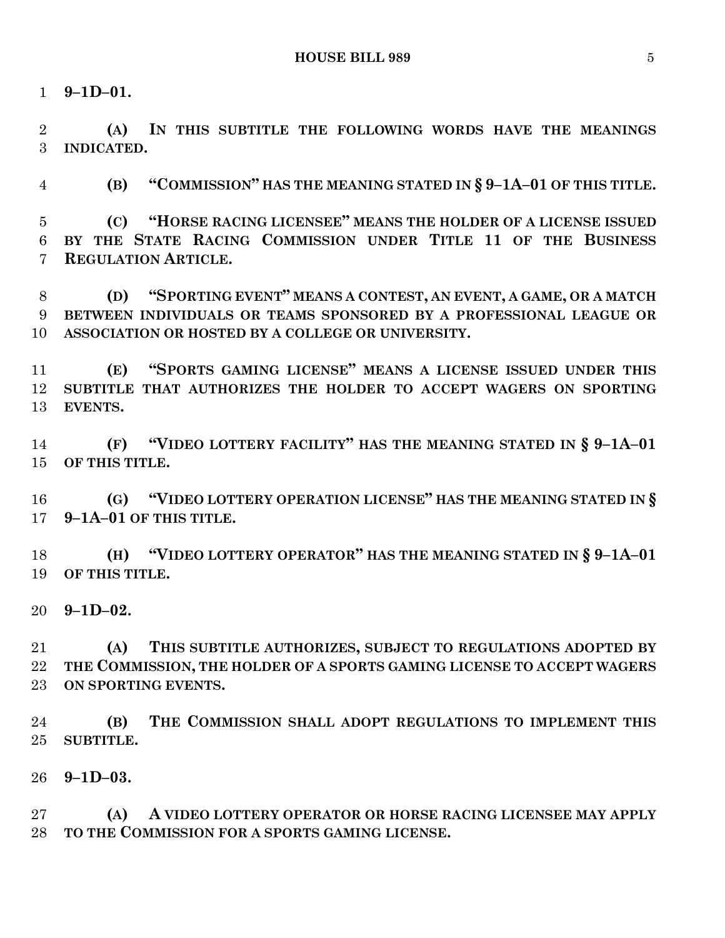**9–1D–01.**

 **(A) IN THIS SUBTITLE THE FOLLOWING WORDS HAVE THE MEANINGS INDICATED.**

**(B) "COMMISSION" HAS THE MEANING STATED IN § 9–1A–01 OF THIS TITLE.**

 **(C) "HORSE RACING LICENSEE" MEANS THE HOLDER OF A LICENSE ISSUED BY THE STATE RACING COMMISSION UNDER TITLE 11 OF THE BUSINESS REGULATION ARTICLE.**

 **(D) "SPORTING EVENT" MEANS A CONTEST, AN EVENT, A GAME, OR A MATCH BETWEEN INDIVIDUALS OR TEAMS SPONSORED BY A PROFESSIONAL LEAGUE OR ASSOCIATION OR HOSTED BY A COLLEGE OR UNIVERSITY.**

 **(E) "SPORTS GAMING LICENSE" MEANS A LICENSE ISSUED UNDER THIS SUBTITLE THAT AUTHORIZES THE HOLDER TO ACCEPT WAGERS ON SPORTING EVENTS.**

 **(F) "VIDEO LOTTERY FACILITY" HAS THE MEANING STATED IN § 9–1A–01 OF THIS TITLE.**

 **(G) "VIDEO LOTTERY OPERATION LICENSE" HAS THE MEANING STATED IN § 9–1A–01 OF THIS TITLE.**

 **(H) "VIDEO LOTTERY OPERATOR" HAS THE MEANING STATED IN § 9–1A–01 OF THIS TITLE.**

**9–1D–02.**

 **(A) THIS SUBTITLE AUTHORIZES, SUBJECT TO REGULATIONS ADOPTED BY THE COMMISSION, THE HOLDER OF A SPORTS GAMING LICENSE TO ACCEPT WAGERS ON SPORTING EVENTS.**

 **(B) THE COMMISSION SHALL ADOPT REGULATIONS TO IMPLEMENT THIS SUBTITLE.**

**9–1D–03.**

 **(A) A VIDEO LOTTERY OPERATOR OR HORSE RACING LICENSEE MAY APPLY TO THE COMMISSION FOR A SPORTS GAMING LICENSE.**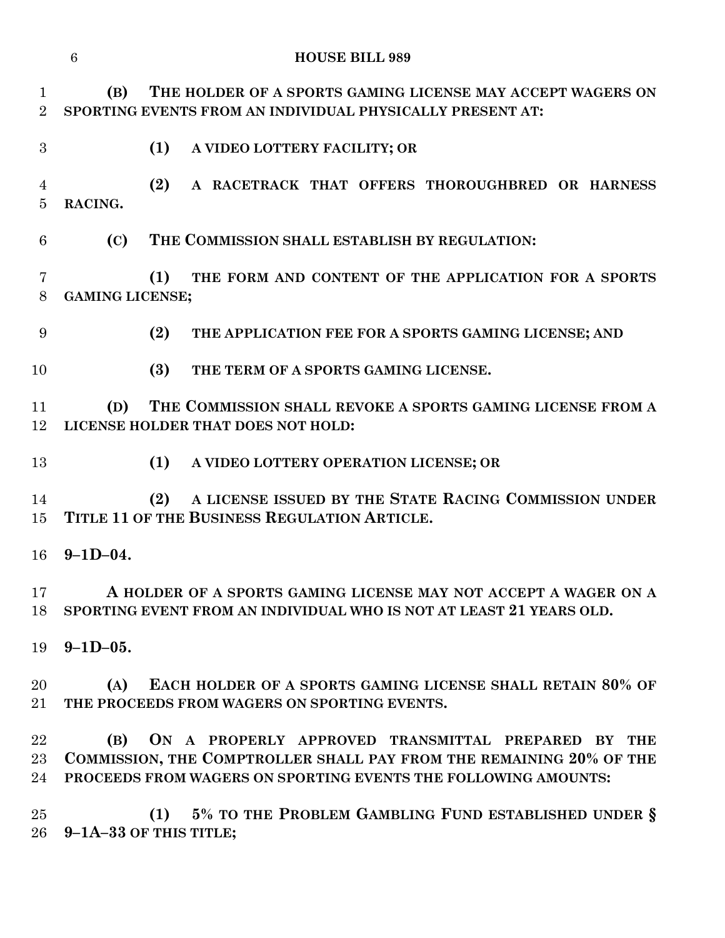|                               | $6\phantom{1}6$        | <b>HOUSE BILL 989</b>                                                                                                                                                                       |
|-------------------------------|------------------------|---------------------------------------------------------------------------------------------------------------------------------------------------------------------------------------------|
| $\mathbf 1$<br>$\overline{2}$ | (B)                    | THE HOLDER OF A SPORTS GAMING LICENSE MAY ACCEPT WAGERS ON<br>SPORTING EVENTS FROM AN INDIVIDUAL PHYSICALLY PRESENT AT:                                                                     |
| $\boldsymbol{3}$              |                        | (1)<br>A VIDEO LOTTERY FACILITY; OR                                                                                                                                                         |
| 4<br>$\overline{5}$           | RACING.                | (2)<br>A RACETRACK THAT OFFERS THOROUGHBRED OR HARNESS                                                                                                                                      |
| 6                             | (C)                    | THE COMMISSION SHALL ESTABLISH BY REGULATION:                                                                                                                                               |
| 7<br>8                        | <b>GAMING LICENSE;</b> | THE FORM AND CONTENT OF THE APPLICATION FOR A SPORTS<br>(1)                                                                                                                                 |
| 9                             |                        | (2)<br>THE APPLICATION FEE FOR A SPORTS GAMING LICENSE; AND                                                                                                                                 |
| 10                            |                        | (3)<br>THE TERM OF A SPORTS GAMING LICENSE.                                                                                                                                                 |
| 11<br>12                      | (D)                    | THE COMMISSION SHALL REVOKE A SPORTS GAMING LICENSE FROM A<br>LICENSE HOLDER THAT DOES NOT HOLD:                                                                                            |
| 13                            |                        | (1)<br>A VIDEO LOTTERY OPERATION LICENSE; OR                                                                                                                                                |
| 14<br>15                      |                        | A LICENSE ISSUED BY THE STATE RACING COMMISSION UNDER<br>(2)<br>TITLE 11 OF THE BUSINESS REGULATION ARTICLE.                                                                                |
| 16                            | $9 - 1D - 04.$         |                                                                                                                                                                                             |
| 17<br>18                      |                        | A HOLDER OF A SPORTS GAMING LICENSE MAY NOT ACCEPT A WAGER ON A<br>SPORTING EVENT FROM AN INDIVIDUAL WHO IS NOT AT LEAST 21 YEARS OLD.                                                      |
| 19                            | $9 - 1D - 05.$         |                                                                                                                                                                                             |
| 20<br>$21\,$                  | (A)                    | EACH HOLDER OF A SPORTS GAMING LICENSE SHALL RETAIN 80% OF<br>THE PROCEEDS FROM WAGERS ON SPORTING EVENTS.                                                                                  |
| 22<br>$23\,$<br>24            | (B)                    | ON A PROPERLY APPROVED TRANSMITTAL PREPARED BY THE<br>COMMISSION, THE COMPTROLLER SHALL PAY FROM THE REMAINING 20% OF THE<br>PROCEEDS FROM WAGERS ON SPORTING EVENTS THE FOLLOWING AMOUNTS: |
| $25\,$<br>$26\,$              |                        | (1) 5% TO THE PROBLEM GAMBLING FUND ESTABLISHED UNDER §<br>9-1A-33 OF THIS TITLE;                                                                                                           |
|                               |                        |                                                                                                                                                                                             |